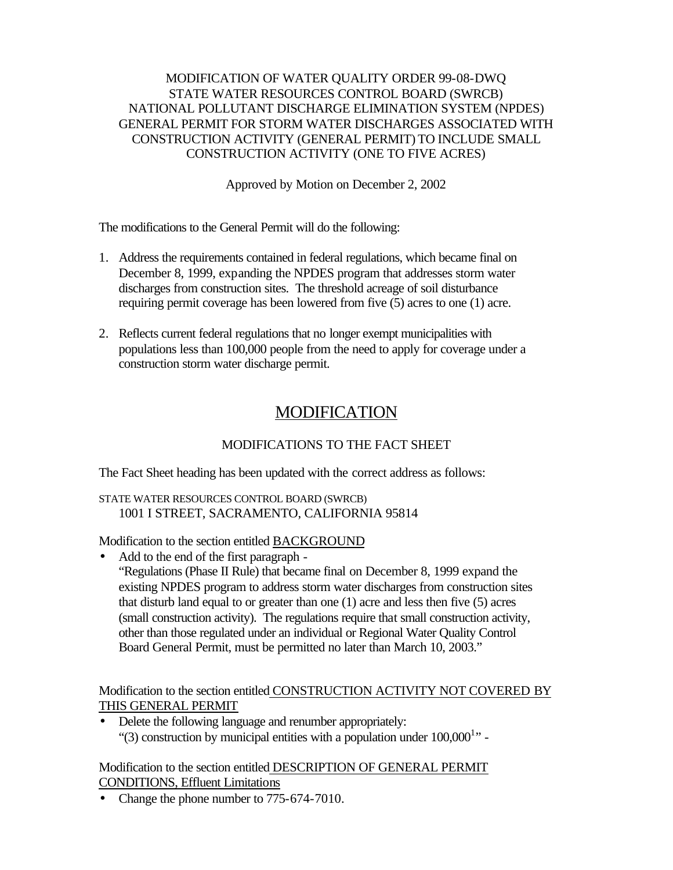#### MODIFICATION OF WATER QUALITY ORDER 99-08-DWQ STATE WATER RESOURCES CONTROL BOARD (SWRCB) NATIONAL POLLUTANT DISCHARGE ELIMINATION SYSTEM (NPDES) GENERAL PERMIT FOR STORM WATER DISCHARGES ASSOCIATED WITH CONSTRUCTION ACTIVITY (GENERAL PERMIT) TO INCLUDE SMALL CONSTRUCTION ACTIVITY (ONE TO FIVE ACRES)

Approved by Motion on December 2, 2002

The modifications to the General Permit will do the following:

- 1. Address the requirements contained in federal regulations, which became final on December 8, 1999, expanding the NPDES program that addresses storm water discharges from construction sites. The threshold acreage of soil disturbance requiring permit coverage has been lowered from five (5) acres to one (1) acre.
- 2. Reflects current federal regulations that no longer exempt municipalities with populations less than 100,000 people from the need to apply for coverage under a construction storm water discharge permit.

# MODIFICATION

# MODIFICATIONS TO THE FACT SHEET

The Fact Sheet heading has been updated with the correct address as follows:

STATE WATER RESOURCES CONTROL BOARD (SWRCB) 1001 I STREET, SACRAMENTO, CALIFORNIA 95814

Modification to the section entitled BACKGROUND

• Add to the end of the first paragraph - "Regulations (Phase II Rule) that became final on December 8, 1999 expand the existing NPDES program to address storm water discharges from construction sites that disturb land equal to or greater than one (1) acre and less then five (5) acres (small construction activity). The regulations require that small construction activity, other than those regulated under an individual or Regional Water Quality Control Board General Permit, must be permitted no later than March 10, 2003."

Modification to the section entitled CONSTRUCTION ACTIVITY NOT COVERED BY THIS GENERAL PERMIT

• Delete the following language and renumber appropriately: "(3) construction by municipal entities with a population under  $100,000^{1}$ " -

Modification to the section entitled DESCRIPTION OF GENERAL PERMIT CONDITIONS, Effluent Limitations

• Change the phone number to 775-674-7010.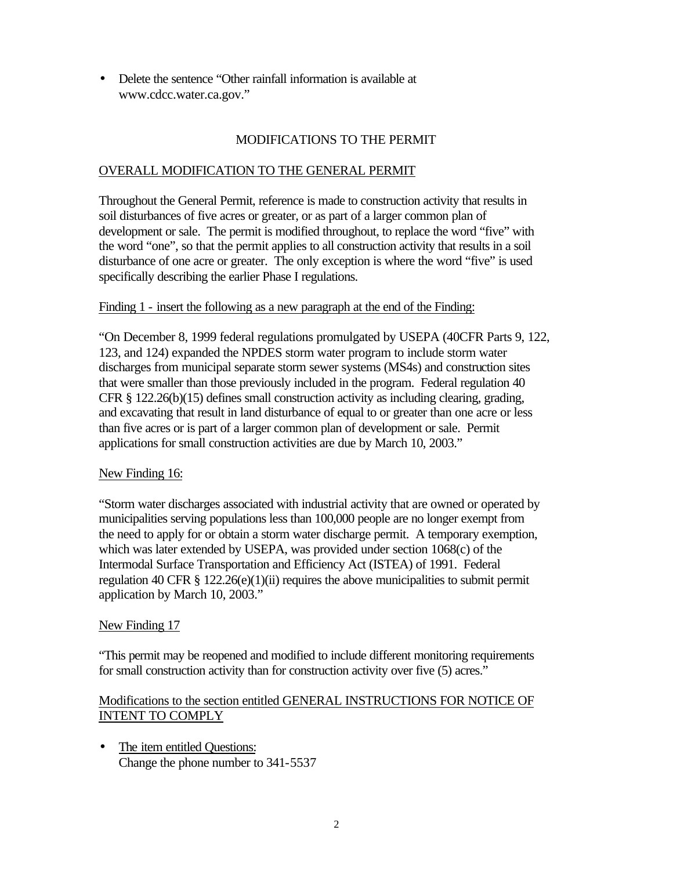• Delete the sentence "Other rainfall information is available at www.cdcc.water.ca.gov."

## MODIFICATIONS TO THE PERMIT

#### OVERALL MODIFICATION TO THE GENERAL PERMIT

Throughout the General Permit, reference is made to construction activity that results in soil disturbances of five acres or greater, or as part of a larger common plan of development or sale. The permit is modified throughout, to replace the word "five" with the word "one", so that the permit applies to all construction activity that results in a soil disturbance of one acre or greater. The only exception is where the word "five" is used specifically describing the earlier Phase I regulations.

#### Finding 1 - insert the following as a new paragraph at the end of the Finding:

"On December 8, 1999 federal regulations promulgated by USEPA (40CFR Parts 9, 122, 123, and 124) expanded the NPDES storm water program to include storm water discharges from municipal separate storm sewer systems (MS4s) and construction sites that were smaller than those previously included in the program. Federal regulation 40 CFR § 122.26(b)(15) defines small construction activity as including clearing, grading, and excavating that result in land disturbance of equal to or greater than one acre or less than five acres or is part of a larger common plan of development or sale. Permit applications for small construction activities are due by March 10, 2003."

#### New Finding 16:

"Storm water discharges associated with industrial activity that are owned or operated by municipalities serving populations less than 100,000 people are no longer exempt from the need to apply for or obtain a storm water discharge permit. A temporary exemption, which was later extended by USEPA, was provided under section 1068(c) of the Intermodal Surface Transportation and Efficiency Act (ISTEA) of 1991. Federal regulation 40 CFR  $\S 122.26(e)(1)(ii)$  requires the above municipalities to submit permit application by March 10, 2003."

#### New Finding 17

"This permit may be reopened and modified to include different monitoring requirements for small construction activity than for construction activity over five (5) acres."

#### Modifications to the section entitled GENERAL INSTRUCTIONS FOR NOTICE OF INTENT TO COMPLY

• The item entitled Questions: Change the phone number to 341-5537